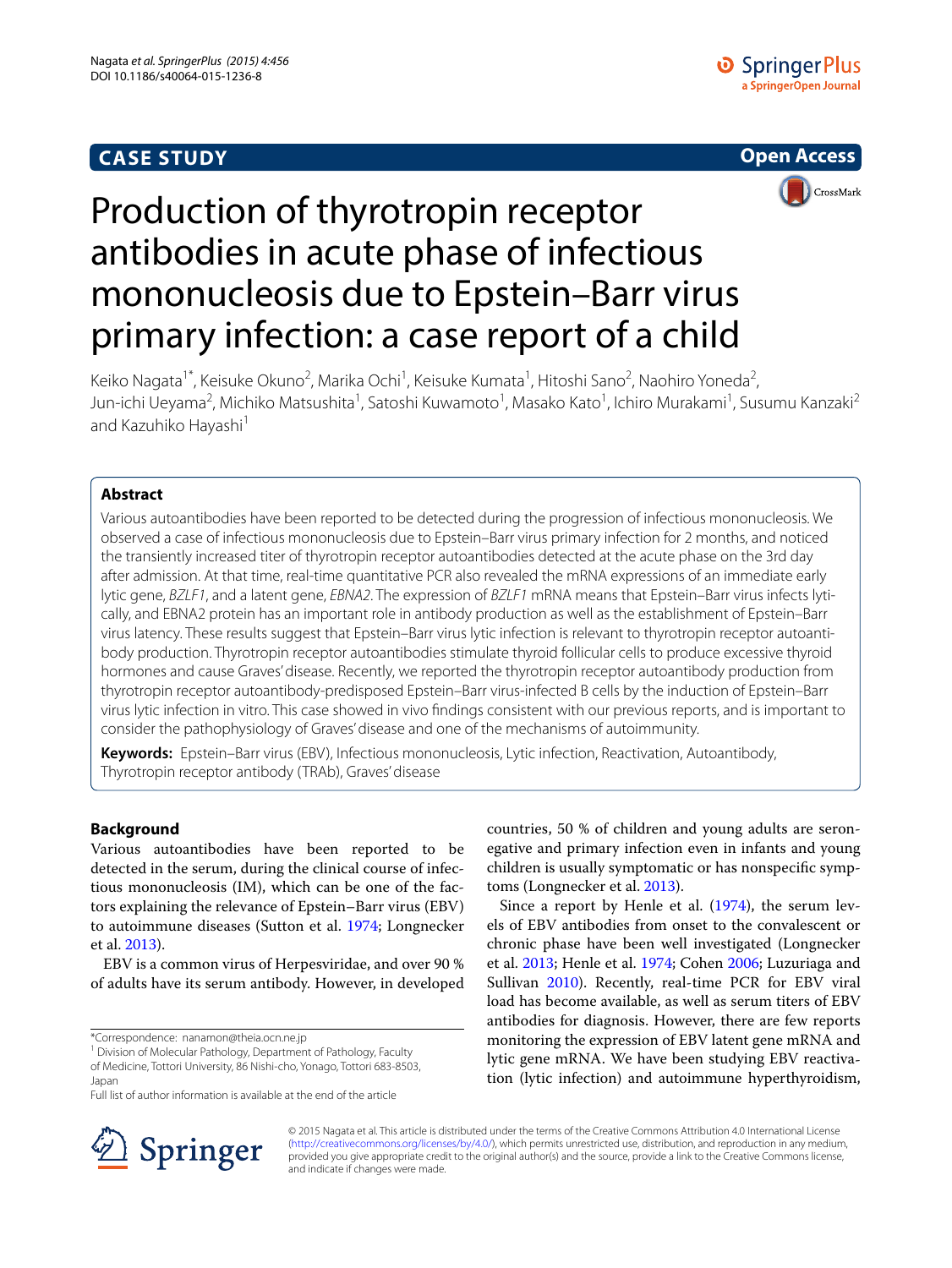# **CASE STUDY**





# Production of thyrotropin receptor antibodies in acute phase of infectious mononucleosis due to Epstein–Barr virus primary infection: a case report of a child

Keiko Nagata<sup>1\*</sup>, Keisuke Okuno<sup>2</sup>, Marika Ochi<sup>1</sup>, Keisuke Kumata<sup>1</sup>, Hitoshi Sano<sup>2</sup>, Naohiro Yoneda<sup>2</sup>, Jun-ichi Ueyama<sup>2</sup>, Michiko Matsushita<sup>1</sup>, Satoshi Kuwamoto<sup>1</sup>, Masako Kato<sup>1</sup>, Ichiro Murakami<sup>1</sup>, Susumu Kanzaki<sup>2</sup> and Kazuhiko Hayashi<sup>1</sup>

## **Abstract**

Various autoantibodies have been reported to be detected during the progression of infectious mononucleosis. We observed a case of infectious mononucleosis due to Epstein–Barr virus primary infection for 2 months, and noticed the transiently increased titer of thyrotropin receptor autoantibodies detected at the acute phase on the 3rd day after admission. At that time, real-time quantitative PCR also revealed the mRNA expressions of an immediate early lytic gene, *BZLF1*, and a latent gene, *EBNA2*. The expression of *BZLF1* mRNA means that Epstein–Barr virus infects lytically, and EBNA2 protein has an important role in antibody production as well as the establishment of Epstein–Barr virus latency. These results suggest that Epstein–Barr virus lytic infection is relevant to thyrotropin receptor autoanti‑ body production. Thyrotropin receptor autoantibodies stimulate thyroid follicular cells to produce excessive thyroid hormones and cause Graves' disease. Recently, we reported the thyrotropin receptor autoantibody production from thyrotropin receptor autoantibody-predisposed Epstein–Barr virus-infected B cells by the induction of Epstein–Barr virus lytic infection in vitro. This case showed in vivo findings consistent with our previous reports, and is important to consider the pathophysiology of Graves' disease and one of the mechanisms of autoimmunity.

**Keywords:** Epstein–Barr virus (EBV), Infectious mononucleosis, Lytic infection, Reactivation, Autoantibody, Thyrotropin receptor antibody (TRAb), Graves' disease

### **Background**

Various autoantibodies have been reported to be detected in the serum, during the clinical course of infectious mononucleosis (IM), which can be one of the factors explaining the relevance of Epstein–Barr virus (EBV) to autoimmune diseases (Sutton et al. [1974;](#page-4-0) Longnecker et al. [2013\)](#page-4-1).

EBV is a common virus of Herpesviridae, and over 90 % of adults have its serum antibody. However, in developed

\*Correspondence: nanamon@theia.ocn.ne.jp

<sup>1</sup> Division of Molecular Pathology, Department of Pathology, Faculty of Medicine, Tottori University, 86 Nishi-cho, Yonago, Tottori 683-8503, Japan

Full list of author information is available at the end of the article



Since a report by Henle et al. [\(1974\)](#page-4-2), the serum levels of EBV antibodies from onset to the convalescent or chronic phase have been well investigated (Longnecker et al. [2013;](#page-4-1) Henle et al. [1974;](#page-4-2) Cohen [2006](#page-4-3); Luzuriaga and Sullivan [2010](#page-4-4)). Recently, real-time PCR for EBV viral load has become available, as well as serum titers of EBV antibodies for diagnosis. However, there are few reports monitoring the expression of EBV latent gene mRNA and lytic gene mRNA. We have been studying EBV reactivation (lytic infection) and autoimmune hyperthyroidism,



© 2015 Nagata et al. This article is distributed under the terms of the Creative Commons Attribution 4.0 International License [\(http://creativecommons.org/licenses/by/4.0/\)](http://creativecommons.org/licenses/by/4.0/), which permits unrestricted use, distribution, and reproduction in any medium, provided you give appropriate credit to the original author(s) and the source, provide a link to the Creative Commons license, and indicate if changes were made.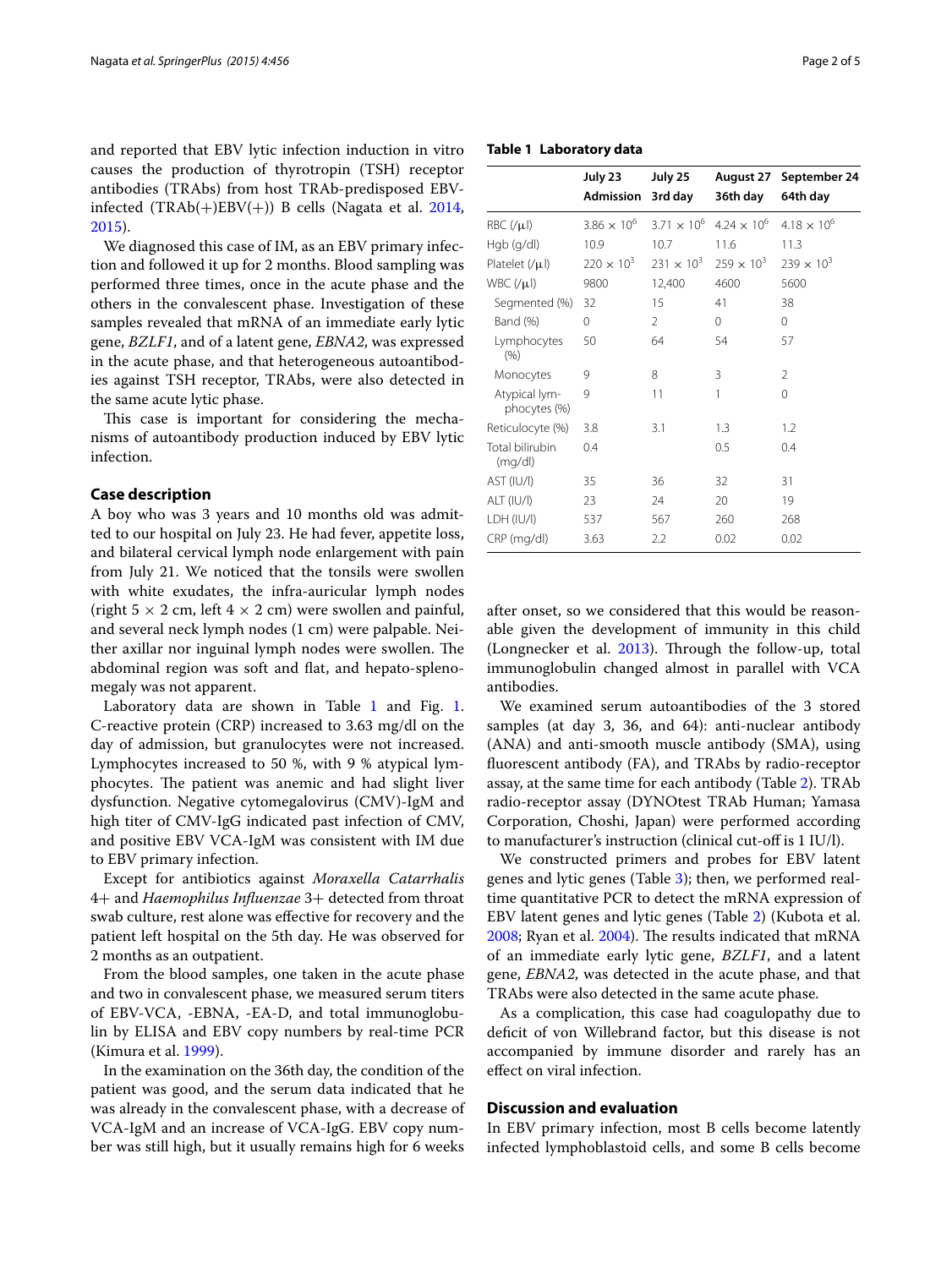and reported that EBV lytic infection induction in vitro causes the production of thyrotropin (TSH) receptor antibodies (TRAbs) from host TRAb-predisposed EBVinfected  $(TRAb(+)EBV(+))$  B cells (Nagata et al. [2014](#page-4-5), [2015](#page-4-6)).

We diagnosed this case of IM, as an EBV primary infection and followed it up for 2 months. Blood sampling was performed three times, once in the acute phase and the others in the convalescent phase. Investigation of these samples revealed that mRNA of an immediate early lytic gene, *BZLF1*, and of a latent gene, *EBNA2*, was expressed in the acute phase, and that heterogeneous autoantibodies against TSH receptor, TRAbs, were also detected in the same acute lytic phase.

This case is important for considering the mechanisms of autoantibody production induced by EBV lytic infection.

#### **Case description**

A boy who was 3 years and 10 months old was admitted to our hospital on July 23. He had fever, appetite loss, and bilateral cervical lymph node enlargement with pain from July 21. We noticed that the tonsils were swollen with white exudates, the infra-auricular lymph nodes (right  $5 \times 2$  cm, left  $4 \times 2$  cm) were swollen and painful, and several neck lymph nodes (1 cm) were palpable. Neither axillar nor inguinal lymph nodes were swollen. The abdominal region was soft and flat, and hepato-splenomegaly was not apparent.

Laboratory data are shown in Table  $1$  and Fig. 1. C-reactive protein (CRP) increased to 3.63 mg/dl on the day of admission, but granulocytes were not increased. Lymphocytes increased to 50 %, with 9 % atypical lymphocytes. The patient was anemic and had slight liver dysfunction. Negative cytomegalovirus (CMV)-IgM and high titer of CMV-IgG indicated past infection of CMV, and positive EBV VCA-IgM was consistent with IM due to EBV primary infection.

Except for antibiotics against *Moraxella Catarrhalis* 4+ and *Haemophilus Influenzae* 3+ detected from throat swab culture, rest alone was effective for recovery and the patient left hospital on the 5th day. He was observed for 2 months as an outpatient.

From the blood samples, one taken in the acute phase and two in convalescent phase, we measured serum titers of EBV-VCA, -EBNA, -EA-D, and total immunoglobulin by ELISA and EBV copy numbers by real-time PCR (Kimura et al. [1999](#page-4-7)).

In the examination on the 36th day, the condition of the patient was good, and the serum data indicated that he was already in the convalescent phase, with a decrease of VCA-IgM and an increase of VCA-IgG. EBV copy number was still high, but it usually remains high for 6 weeks

<span id="page-1-0"></span>

| Table 1 Laboratory data |  |
|-------------------------|--|
|-------------------------|--|

|                               | July 23              | July 25              | August 27            | September 24         |
|-------------------------------|----------------------|----------------------|----------------------|----------------------|
|                               | Admission            | 3rd day              | 36th day             | 64th day             |
| $RBC(\mu I)$                  | $3.86 \times 10^{6}$ | $3.71 \times 10^{6}$ | $4.24 \times 10^{6}$ | $4.18 \times 10^{6}$ |
| $Hqb$ (g/dl)                  | 10.9                 | 10.7                 | 11.6                 | 11.3                 |
| Platelet $(\mu)$              | $220 \times 10^{3}$  | $231 \times 10^{3}$  | $259 \times 10^{3}$  | $239 \times 10^{3}$  |
| $WBC(\mu I)$                  | 9800                 | 12,400               | 4600                 | 5600                 |
| Segmented (%)                 | 32                   | 15                   | 41                   | 38                   |
| Band (%)                      | 0                    | 2                    | 0                    | 0                    |
| Lymphocytes<br>(% )           | 50                   | 64                   | 54                   | 57                   |
| Monocytes                     | 9                    | 8                    | 3                    | 2                    |
| Atypical lym-<br>phocytes (%) | 9                    | 11                   | 1                    | 0                    |
| Reticulocyte (%)              | 3.8                  | 3.1                  | 1.3                  | 1.2                  |
| Total bilirubin<br>(mg/dl)    | 0.4                  |                      | 0.5                  | 0.4                  |
| AST (IU/I)                    | 35                   | 36                   | 32                   | 31                   |
| ALT (IU/I)                    | 23                   | 24                   | 20                   | 19                   |
| LDH (IU/I)                    | 537                  | 567                  | 260                  | 268                  |
| CRP (mg/dl)                   | 3.63                 | 2.2                  | 0.02                 | 0.02                 |

after onset, so we considered that this would be reasonable given the development of immunity in this child (Longnecker et al. [2013](#page-4-1)). Through the follow-up, total immunoglobulin changed almost in parallel with VCA antibodies.

We examined serum autoantibodies of the 3 stored samples (at day 3, 36, and 64): anti-nuclear antibody (ANA) and anti-smooth muscle antibody (SMA), using fluorescent antibody (FA), and TRAbs by radio-receptor assay, at the same time for each antibody (Table [2\)](#page-2-1). TRAb radio-receptor assay (DYNOtest TRAb Human; Yamasa Corporation, Choshi, Japan) were performed according to manufacturer's instruction (clinical cut-off is 1 IU/l).

We constructed primers and probes for EBV latent genes and lytic genes (Table [3\)](#page-3-0); then, we performed realtime quantitative PCR to detect the mRNA expression of EBV latent genes and lytic genes (Table [2](#page-2-1)) (Kubota et al. [2008](#page-4-8); Ryan et al. [2004](#page-4-9)). The results indicated that mRNA of an immediate early lytic gene, *BZLF1*, and a latent gene, *EBNA2*, was detected in the acute phase, and that TRAbs were also detected in the same acute phase.

As a complication, this case had coagulopathy due to deficit of von Willebrand factor, but this disease is not accompanied by immune disorder and rarely has an effect on viral infection.

## **Discussion and evaluation**

In EBV primary infection, most B cells become latently infected lymphoblastoid cells, and some B cells become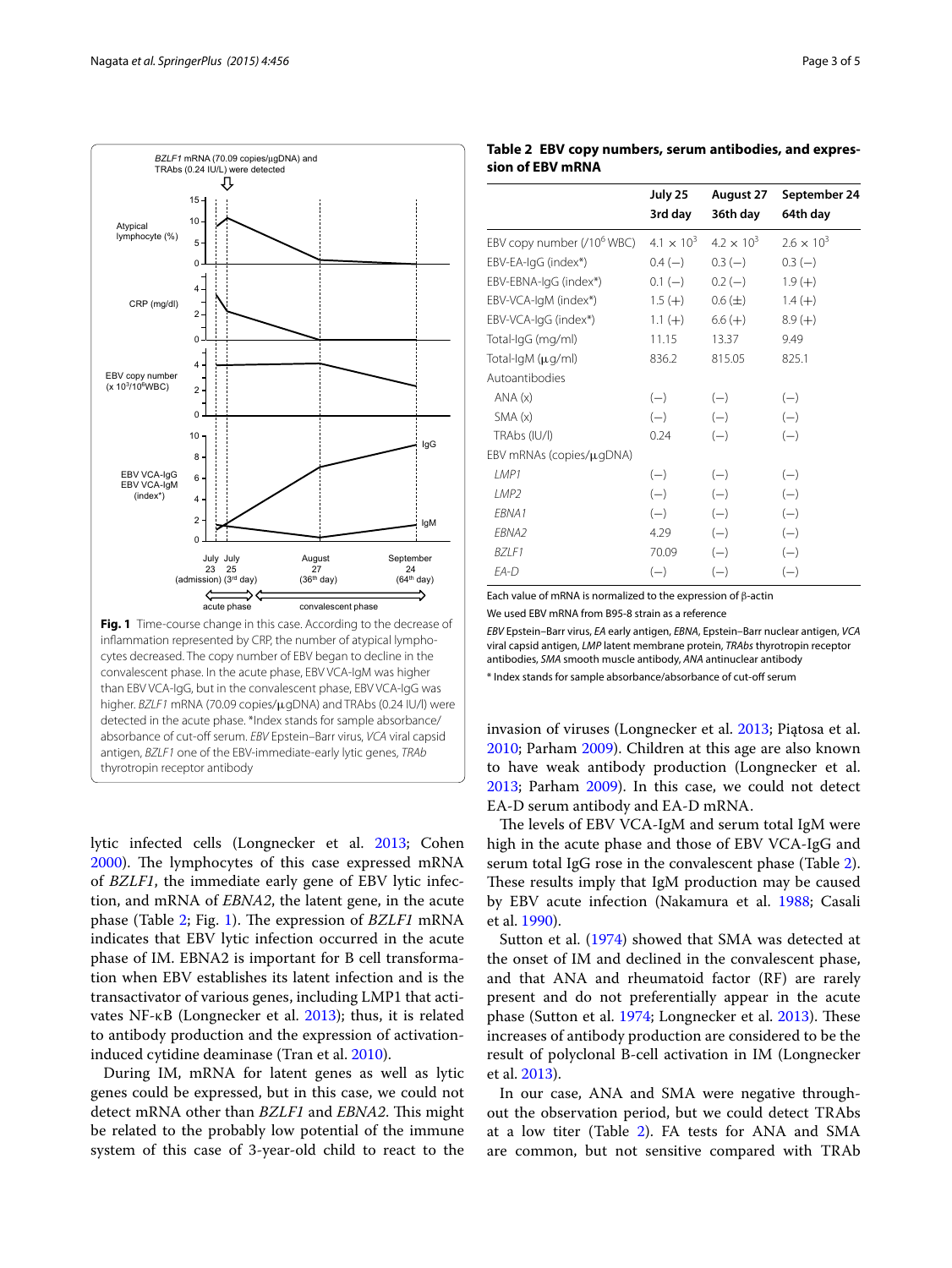

<span id="page-2-0"></span>lytic infected cells (Longnecker et al. [2013](#page-4-1); Cohen [2000](#page-4-10)). The lymphocytes of this case expressed mRNA of *BZLF1*, the immediate early gene of EBV lytic infection, and mRNA of *EBNA2*, the latent gene, in the acute phase (Table [2](#page-2-1); Fig. [1](#page-2-0)). The expression of *BZLF1* mRNA indicates that EBV lytic infection occurred in the acute phase of IM. EBNA2 is important for B cell transformation when EBV establishes its latent infection and is the transactivator of various genes, including LMP1 that activates NF-κB (Longnecker et al. [2013](#page-4-1)); thus, it is related to antibody production and the expression of activationinduced cytidine deaminase (Tran et al. [2010\)](#page-4-11).

During IM, mRNA for latent genes as well as lytic genes could be expressed, but in this case, we could not detect mRNA other than *BZLF1* and *EBNA2*. This might be related to the probably low potential of the immune system of this case of 3-year-old child to react to the

<span id="page-2-1"></span>**Table 2 EBV copy numbers, serum antibodies, and expression of EBV mRNA**

|                                        | July 25<br>3rd day  | August 27<br>36th day | September 24<br>64th day |
|----------------------------------------|---------------------|-----------------------|--------------------------|
| EBV copy number (/10 <sup>6</sup> WBC) | $4.1 \times 10^{3}$ | $4.2 \times 10^{3}$   | $2.6 \times 10^{3}$      |
| EBV-EA-IgG (index*)                    | $0.4(-)$            | $0.3(-)$              | $0.3(-)$                 |
| EBV-EBNA-IgG (index*)                  | $0.1(-)$            | $0.2(-)$              | $1.9(+)$                 |
| EBV-VCA-IgM (index*)                   | $1.5 (+)$           | $0.6 (\pm)$           | $1.4 (+)$                |
| EBV-VCA-IgG (index*)                   | $1.1 (+)$           | $6.6 (+)$             | $8.9(+)$                 |
| Total-IgG (mg/ml)                      | 11.15               | 13.37                 | 9.49                     |
| Total-IgM (µg/ml)                      | 836.2               | 815.05                | 825.1                    |
| Autoantibodies                         |                     |                       |                          |
| ANA(x)                                 | $(-)$               | $(-)$                 | $(-)$                    |
| SMA(x)                                 | $(-)$               | $(-)$                 | $(-)$                    |
| TRAbs (IU/I)                           | 0.24                | $(-)$                 | $(-)$                    |
| EBV mRNAs (copies/µgDNA)               |                     |                       |                          |
| I MP1                                  | $(-)$               | $(-)$                 | $(-)$                    |
| LMP <sub>2</sub>                       | $(-)$               | $(-)$                 | $(-)$                    |
| EBNA1                                  | $(-)$               | $(-)$                 | $(-)$                    |
| FBNA <sub>2</sub>                      | 4.29                | $(-)$                 | $(-)$                    |
| BZLF1                                  | 70.09               | $(-)$                 | $(-)$                    |
| $FA-D$                                 | $(-)$               | $(-)$                 | $(-)$                    |

Each value of mRNA is normalized to the expression of β-actin

We used EBV mRNA from B95-8 strain as a reference

*EBV* Epstein–Barr virus, *EA* early antigen, *EBNA*, Epstein–Barr nuclear antigen, *VCA* viral capsid antigen, *LMP* latent membrane protein, *TRAbs* thyrotropin receptor antibodies, *SMA* smooth muscle antibody, *ANA* antinuclear antibody

\* Index stands for sample absorbance/absorbance of cut-off serum

invasion of viruses (Longnecker et al. [2013](#page-4-1); Piątosa et al. [2010](#page-4-12); Parham [2009\)](#page-4-13). Children at this age are also known to have weak antibody production (Longnecker et al. [2013](#page-4-1); Parham [2009\)](#page-4-13). In this case, we could not detect EA-D serum antibody and EA-D mRNA.

The levels of EBV VCA-IgM and serum total IgM were high in the acute phase and those of EBV VCA-IgG and serum total IgG rose in the convalescent phase (Table [2](#page-2-1)). These results imply that IgM production may be caused by EBV acute infection (Nakamura et al. [1988;](#page-4-14) Casali et al. [1990](#page-4-15)).

Sutton et al. ([1974](#page-4-0)) showed that SMA was detected at the onset of IM and declined in the convalescent phase, and that ANA and rheumatoid factor (RF) are rarely present and do not preferentially appear in the acute phase (Sutton et al. [1974](#page-4-0); Longnecker et al. [2013](#page-4-1)). These increases of antibody production are considered to be the result of polyclonal B-cell activation in IM (Longnecker et al. [2013](#page-4-1)).

In our case, ANA and SMA were negative throughout the observation period, but we could detect TRAbs at a low titer (Table [2\)](#page-2-1). FA tests for ANA and SMA are common, but not sensitive compared with TRAb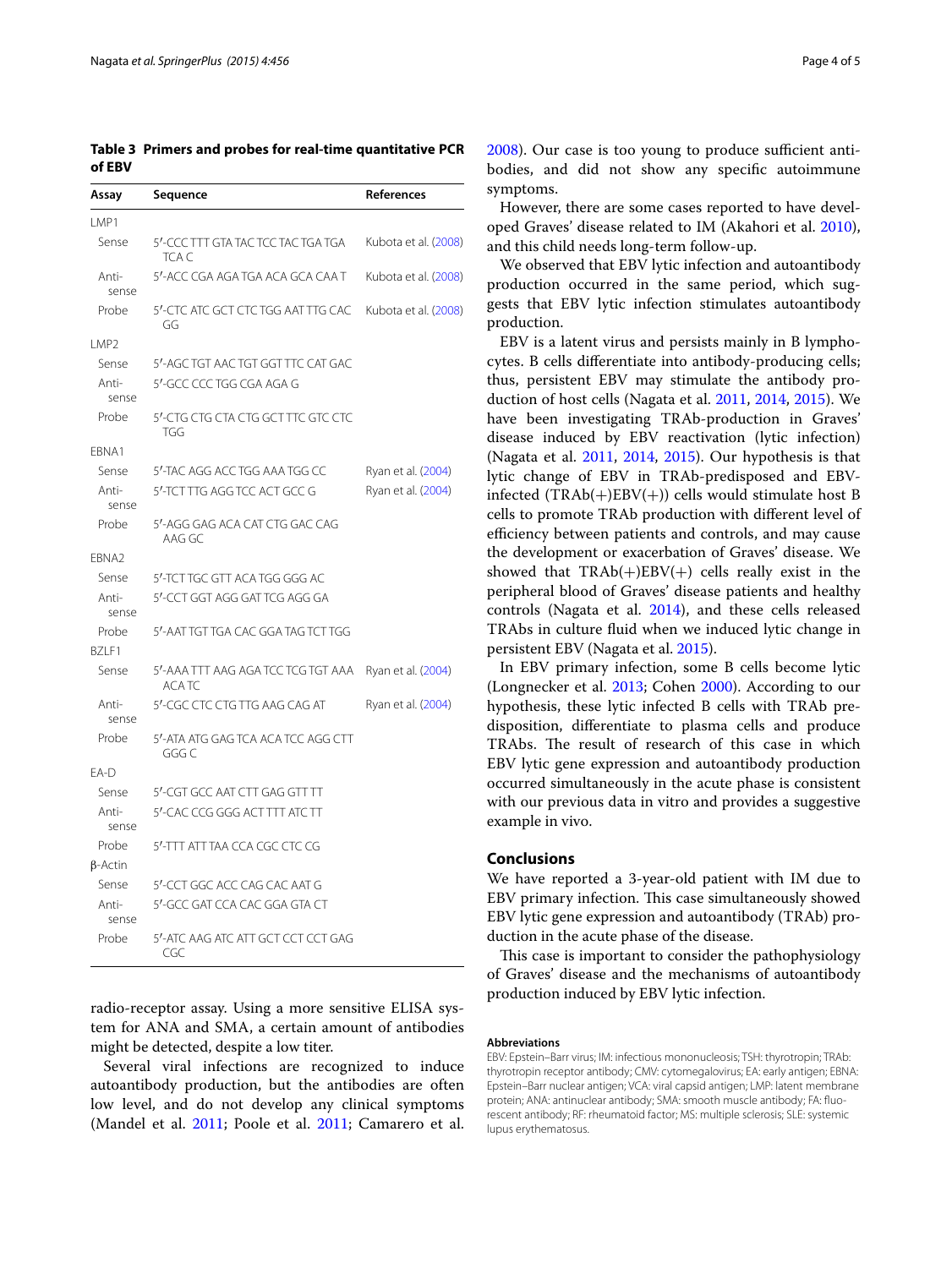<span id="page-3-0"></span>**Table 3 Primers and probes for real-time quantitative PCR of EBV**

| Assay             | Sequence                                           | References           |
|-------------------|----------------------------------------------------|----------------------|
| LMP1              |                                                    |                      |
| Sense             | 5'-CCC TTT GTA TAC TCC TAC TGA TGA<br>tca c        | Kubota et al. (2008) |
| Anti-<br>sense    | 5'-ACC CGA AGA TGA ACA GCA CAA T                   | Kubota et al. (2008) |
| Probe             | 5'-CTC ATC GCT CTC TGG AAT TTG CAC<br>GG           | Kubota et al. (2008) |
| LMP <sub>2</sub>  |                                                    |                      |
| Sense             | 5'-AGC TGT AAC TGT GGT TTC CAT GAC                 |                      |
| Anti-<br>sense    | 5'-GCC CCC TGG CGA AGA G                           |                      |
| Probe             | 5'-CTG CTG CTA CTG GCT TTC GTC CTC<br>TGG          |                      |
| EBNA1             |                                                    |                      |
| Sense             | 5'-TAC AGG ACC TGG AAA TGG CC                      | Ryan et al. (2004)   |
| Anti-<br>sense    | 5'-TCT TTG AGG TCC ACT GCC G                       | Ryan et al. (2004)   |
| Probe             | 5'-AGG GAG ACA CAT CTG GAC CAG<br>AAG GC           |                      |
| EBNA <sub>2</sub> |                                                    |                      |
| Sense             | 5'-TCT TGC GTT ACA TGG GGG AC                      |                      |
| Anti-<br>sense    | 5'-CCT GGT AGG GAT TCG AGG GA                      |                      |
| Probe             | 5'-AAT TGT TGA CAC GGA TAG TCT TGG                 |                      |
| BZLF1             |                                                    |                      |
| Sense             | 5'-AAA TTT AAG AGA TCC TCG TGT AAA<br><b>ACATC</b> | Ryan et al. (2004)   |
| Anti-<br>sense    | 5'-CGC CTC CTG TTG AAG CAG AT                      | Ryan et al. (2004)   |
| Probe             | 5'-ATA ATG GAG TCA ACA TCC AGG CTT<br>GGG C        |                      |
| EA-D              |                                                    |                      |
| Sense             | 5'-CGT GCC AAT CTT GAG GTT TT                      |                      |
| Anti-<br>sense    | 5'-CAC CCG GGG ACT TTT ATC TT                      |                      |
| Probe             | 5'-TTT ATT TAA CCA CGC CTC CG                      |                      |
| $\beta$ -Actin    |                                                    |                      |
| Sense             | 5'-CCT GGC ACC CAG CAC AAT G                       |                      |
| Anti-<br>sense    | 5'-GCC GAT CCA CAC GGA GTA CT                      |                      |
| Probe             | 5'-ATC AAG ATC ATT GCT CCT CCT GAG<br>CGC          |                      |

radio-receptor assay. Using a more sensitive ELISA system for ANA and SMA, a certain amount of antibodies might be detected, despite a low titer.

Several viral infections are recognized to induce autoantibody production, but the antibodies are often low level, and do not develop any clinical symptoms (Mandel et al. [2011](#page-4-16); Poole et al. [2011](#page-4-17); Camarero et al.

[2008](#page-4-18)). Our case is too young to produce sufficient antibodies, and did not show any specific autoimmune symptoms.

However, there are some cases reported to have developed Graves' disease related to IM (Akahori et al. [2010](#page-4-19)), and this child needs long-term follow-up.

We observed that EBV lytic infection and autoantibody production occurred in the same period, which suggests that EBV lytic infection stimulates autoantibody production.

EBV is a latent virus and persists mainly in B lymphocytes. B cells differentiate into antibody-producing cells; thus, persistent EBV may stimulate the antibody production of host cells (Nagata et al. [2011](#page-4-20), [2014](#page-4-5), [2015\)](#page-4-6). We have been investigating TRAb-production in Graves' disease induced by EBV reactivation (lytic infection) (Nagata et al. [2011](#page-4-20), [2014,](#page-4-5) [2015](#page-4-6)). Our hypothesis is that lytic change of EBV in TRAb-predisposed and EBVinfected (TRAb(+)EBV(+)) cells would stimulate host B cells to promote TRAb production with different level of efficiency between patients and controls, and may cause the development or exacerbation of Graves' disease. We showed that  $TRAb(+)EBV(+)$  cells really exist in the peripheral blood of Graves' disease patients and healthy controls (Nagata et al. [2014](#page-4-5)), and these cells released TRAbs in culture fluid when we induced lytic change in persistent EBV (Nagata et al. [2015](#page-4-6)).

In EBV primary infection, some B cells become lytic (Longnecker et al. [2013;](#page-4-1) Cohen [2000](#page-4-10)). According to our hypothesis, these lytic infected B cells with TRAb predisposition, differentiate to plasma cells and produce TRAbs. The result of research of this case in which EBV lytic gene expression and autoantibody production occurred simultaneously in the acute phase is consistent with our previous data in vitro and provides a suggestive example in vivo.

#### **Conclusions**

We have reported a 3-year-old patient with IM due to EBV primary infection. This case simultaneously showed EBV lytic gene expression and autoantibody (TRAb) production in the acute phase of the disease.

This case is important to consider the pathophysiology of Graves' disease and the mechanisms of autoantibody production induced by EBV lytic infection.

#### **Abbreviations**

EBV: Epstein–Barr virus; IM: infectious mononucleosis; TSH: thyrotropin; TRAb: thyrotropin receptor antibody; CMV: cytomegalovirus; EA: early antigen; EBNA: Epstein–Barr nuclear antigen; VCA: viral capsid antigen; LMP: latent membrane protein; ANA: antinuclear antibody; SMA: smooth muscle antibody; FA: fluorescent antibody; RF: rheumatoid factor; MS: multiple sclerosis; SLE: systemic lupus erythematosus.